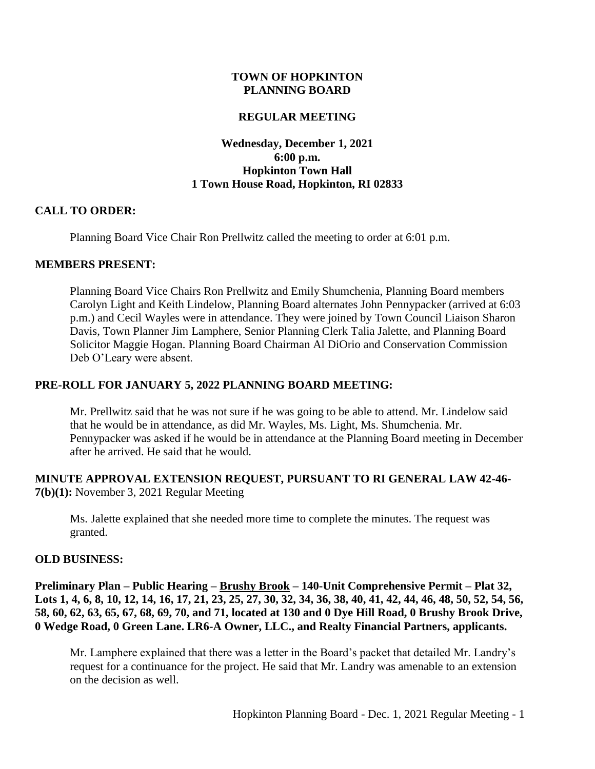### **TOWN OF HOPKINTON PLANNING BOARD**

#### **REGULAR MEETING**

### **Wednesday, December 1, 2021 6:00 p.m. Hopkinton Town Hall 1 Town House Road, Hopkinton, RI 02833**

#### **CALL TO ORDER:**

Planning Board Vice Chair Ron Prellwitz called the meeting to order at 6:01 p.m.

#### **MEMBERS PRESENT:**

Planning Board Vice Chairs Ron Prellwitz and Emily Shumchenia, Planning Board members Carolyn Light and Keith Lindelow, Planning Board alternates John Pennypacker (arrived at 6:03 p.m.) and Cecil Wayles were in attendance. They were joined by Town Council Liaison Sharon Davis, Town Planner Jim Lamphere, Senior Planning Clerk Talia Jalette, and Planning Board Solicitor Maggie Hogan. Planning Board Chairman Al DiOrio and Conservation Commission Deb O'Leary were absent.

#### **PRE-ROLL FOR JANUARY 5, 2022 PLANNING BOARD MEETING:**

Mr. Prellwitz said that he was not sure if he was going to be able to attend. Mr. Lindelow said that he would be in attendance, as did Mr. Wayles, Ms. Light, Ms. Shumchenia. Mr. Pennypacker was asked if he would be in attendance at the Planning Board meeting in December after he arrived. He said that he would.

### **MINUTE APPROVAL EXTENSION REQUEST, PURSUANT TO RI GENERAL LAW 42-46- 7(b)(1):** November 3, 2021 Regular Meeting

Ms. Jalette explained that she needed more time to complete the minutes. The request was granted.

#### **OLD BUSINESS:**

**Preliminary Plan – Public Hearing – Brushy Brook – 140-Unit Comprehensive Permit – Plat 32, Lots 1, 4, 6, 8, 10, 12, 14, 16, 17, 21, 23, 25, 27, 30, 32, 34, 36, 38, 40, 41, 42, 44, 46, 48, 50, 52, 54, 56, 58, 60, 62, 63, 65, 67, 68, 69, 70, and 71, located at 130 and 0 Dye Hill Road, 0 Brushy Brook Drive, 0 Wedge Road, 0 Green Lane. LR6-A Owner, LLC., and Realty Financial Partners, applicants.** 

Mr. Lamphere explained that there was a letter in the Board's packet that detailed Mr. Landry's request for a continuance for the project. He said that Mr. Landry was amenable to an extension on the decision as well.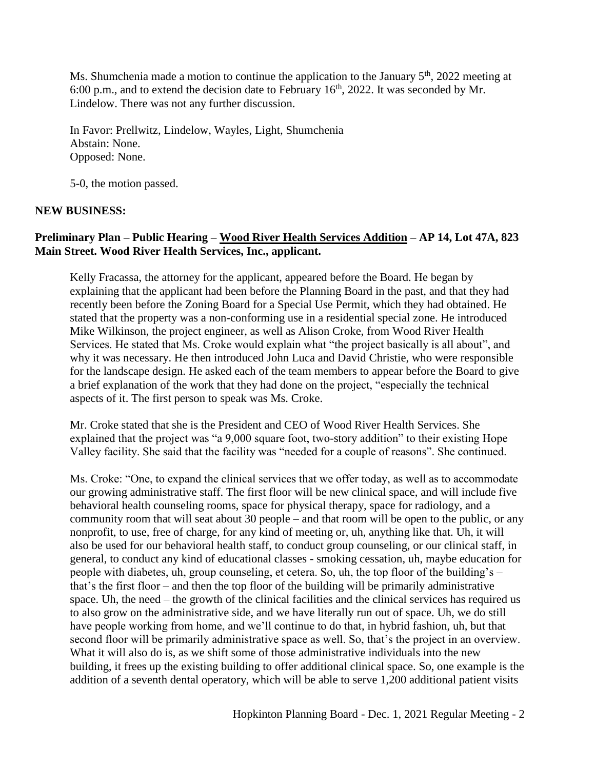Ms. Shumchenia made a motion to continue the application to the January  $5<sup>th</sup>$ , 2022 meeting at 6:00 p.m., and to extend the decision date to February  $16<sup>th</sup>$ , 2022. It was seconded by Mr. Lindelow. There was not any further discussion.

In Favor: Prellwitz, Lindelow, Wayles, Light, Shumchenia Abstain: None. Opposed: None.

5-0, the motion passed.

# **NEW BUSINESS:**

# **Preliminary Plan – Public Hearing – Wood River Health Services Addition – AP 14, Lot 47A, 823 Main Street. Wood River Health Services, Inc., applicant.**

Kelly Fracassa, the attorney for the applicant, appeared before the Board. He began by explaining that the applicant had been before the Planning Board in the past, and that they had recently been before the Zoning Board for a Special Use Permit, which they had obtained. He stated that the property was a non-conforming use in a residential special zone. He introduced Mike Wilkinson, the project engineer, as well as Alison Croke, from Wood River Health Services. He stated that Ms. Croke would explain what "the project basically is all about", and why it was necessary. He then introduced John Luca and David Christie, who were responsible for the landscape design. He asked each of the team members to appear before the Board to give a brief explanation of the work that they had done on the project, "especially the technical aspects of it. The first person to speak was Ms. Croke.

Mr. Croke stated that she is the President and CEO of Wood River Health Services. She explained that the project was "a 9,000 square foot, two-story addition" to their existing Hope Valley facility. She said that the facility was "needed for a couple of reasons". She continued.

Ms. Croke: "One, to expand the clinical services that we offer today, as well as to accommodate our growing administrative staff. The first floor will be new clinical space, and will include five behavioral health counseling rooms, space for physical therapy, space for radiology, and a community room that will seat about 30 people – and that room will be open to the public, or any nonprofit, to use, free of charge, for any kind of meeting or, uh, anything like that. Uh, it will also be used for our behavioral health staff, to conduct group counseling, or our clinical staff, in general, to conduct any kind of educational classes - smoking cessation, uh, maybe education for people with diabetes, uh, group counseling, et cetera. So, uh, the top floor of the building's – that's the first floor – and then the top floor of the building will be primarily administrative space. Uh, the need – the growth of the clinical facilities and the clinical services has required us to also grow on the administrative side, and we have literally run out of space. Uh, we do still have people working from home, and we'll continue to do that, in hybrid fashion, uh, but that second floor will be primarily administrative space as well. So, that's the project in an overview. What it will also do is, as we shift some of those administrative individuals into the new building, it frees up the existing building to offer additional clinical space. So, one example is the addition of a seventh dental operatory, which will be able to serve 1,200 additional patient visits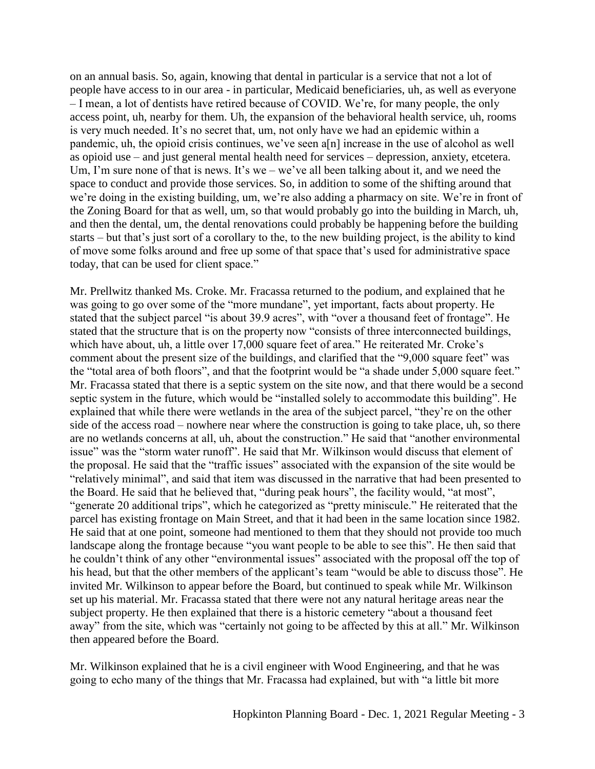on an annual basis. So, again, knowing that dental in particular is a service that not a lot of people have access to in our area - in particular, Medicaid beneficiaries, uh, as well as everyone – I mean, a lot of dentists have retired because of COVID. We're, for many people, the only access point, uh, nearby for them. Uh, the expansion of the behavioral health service, uh, rooms is very much needed. It's no secret that, um, not only have we had an epidemic within a pandemic, uh, the opioid crisis continues, we've seen a[n] increase in the use of alcohol as well as opioid use – and just general mental health need for services – depression, anxiety, etcetera. Um, I'm sure none of that is news. It's we – we've all been talking about it, and we need the space to conduct and provide those services. So, in addition to some of the shifting around that we're doing in the existing building, um, we're also adding a pharmacy on site. We're in front of the Zoning Board for that as well, um, so that would probably go into the building in March, uh, and then the dental, um, the dental renovations could probably be happening before the building starts – but that's just sort of a corollary to the, to the new building project, is the ability to kind of move some folks around and free up some of that space that's used for administrative space today, that can be used for client space."

Mr. Prellwitz thanked Ms. Croke. Mr. Fracassa returned to the podium, and explained that he was going to go over some of the "more mundane", yet important, facts about property. He stated that the subject parcel "is about 39.9 acres", with "over a thousand feet of frontage". He stated that the structure that is on the property now "consists of three interconnected buildings, which have about, uh, a little over 17,000 square feet of area." He reiterated Mr. Croke's comment about the present size of the buildings, and clarified that the "9,000 square feet" was the "total area of both floors", and that the footprint would be "a shade under 5,000 square feet." Mr. Fracassa stated that there is a septic system on the site now, and that there would be a second septic system in the future, which would be "installed solely to accommodate this building". He explained that while there were wetlands in the area of the subject parcel, "they're on the other side of the access road – nowhere near where the construction is going to take place, uh, so there are no wetlands concerns at all, uh, about the construction." He said that "another environmental issue" was the "storm water runoff". He said that Mr. Wilkinson would discuss that element of the proposal. He said that the "traffic issues" associated with the expansion of the site would be "relatively minimal", and said that item was discussed in the narrative that had been presented to the Board. He said that he believed that, "during peak hours", the facility would, "at most", "generate 20 additional trips", which he categorized as "pretty miniscule." He reiterated that the parcel has existing frontage on Main Street, and that it had been in the same location since 1982. He said that at one point, someone had mentioned to them that they should not provide too much landscape along the frontage because "you want people to be able to see this". He then said that he couldn't think of any other "environmental issues" associated with the proposal off the top of his head, but that the other members of the applicant's team "would be able to discuss those". He invited Mr. Wilkinson to appear before the Board, but continued to speak while Mr. Wilkinson set up his material. Mr. Fracassa stated that there were not any natural heritage areas near the subject property. He then explained that there is a historic cemetery "about a thousand feet away" from the site, which was "certainly not going to be affected by this at all." Mr. Wilkinson then appeared before the Board.

Mr. Wilkinson explained that he is a civil engineer with Wood Engineering, and that he was going to echo many of the things that Mr. Fracassa had explained, but with "a little bit more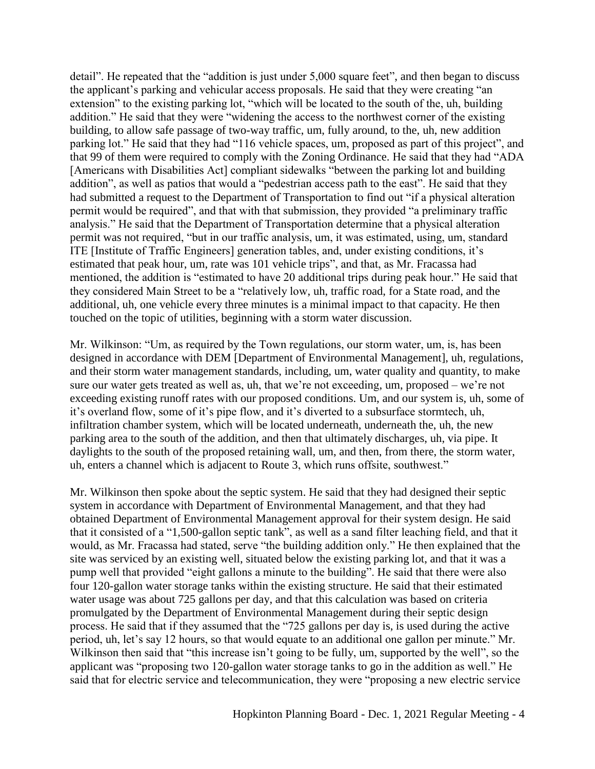detail". He repeated that the "addition is just under 5,000 square feet", and then began to discuss the applicant's parking and vehicular access proposals. He said that they were creating "an extension" to the existing parking lot, "which will be located to the south of the, uh, building addition." He said that they were "widening the access to the northwest corner of the existing building, to allow safe passage of two-way traffic, um, fully around, to the, uh, new addition parking lot." He said that they had "116 vehicle spaces, um, proposed as part of this project", and that 99 of them were required to comply with the Zoning Ordinance. He said that they had "ADA [Americans with Disabilities Act] compliant sidewalks "between the parking lot and building addition", as well as patios that would a "pedestrian access path to the east". He said that they had submitted a request to the Department of Transportation to find out "if a physical alteration permit would be required", and that with that submission, they provided "a preliminary traffic analysis." He said that the Department of Transportation determine that a physical alteration permit was not required, "but in our traffic analysis, um, it was estimated, using, um, standard ITE [Institute of Traffic Engineers] generation tables, and, under existing conditions, it's estimated that peak hour, um, rate was 101 vehicle trips", and that, as Mr. Fracassa had mentioned, the addition is "estimated to have 20 additional trips during peak hour." He said that they considered Main Street to be a "relatively low, uh, traffic road, for a State road, and the additional, uh, one vehicle every three minutes is a minimal impact to that capacity. He then touched on the topic of utilities, beginning with a storm water discussion.

Mr. Wilkinson: "Um, as required by the Town regulations, our storm water, um, is, has been designed in accordance with DEM [Department of Environmental Management], uh, regulations, and their storm water management standards, including, um, water quality and quantity, to make sure our water gets treated as well as, uh, that we're not exceeding, um, proposed – we're not exceeding existing runoff rates with our proposed conditions. Um, and our system is, uh, some of it's overland flow, some of it's pipe flow, and it's diverted to a subsurface stormtech, uh, infiltration chamber system, which will be located underneath, underneath the, uh, the new parking area to the south of the addition, and then that ultimately discharges, uh, via pipe. It daylights to the south of the proposed retaining wall, um, and then, from there, the storm water, uh, enters a channel which is adjacent to Route 3, which runs offsite, southwest."

Mr. Wilkinson then spoke about the septic system. He said that they had designed their septic system in accordance with Department of Environmental Management, and that they had obtained Department of Environmental Management approval for their system design. He said that it consisted of a "1,500-gallon septic tank", as well as a sand filter leaching field, and that it would, as Mr. Fracassa had stated, serve "the building addition only." He then explained that the site was serviced by an existing well, situated below the existing parking lot, and that it was a pump well that provided "eight gallons a minute to the building". He said that there were also four 120-gallon water storage tanks within the existing structure. He said that their estimated water usage was about 725 gallons per day, and that this calculation was based on criteria promulgated by the Department of Environmental Management during their septic design process. He said that if they assumed that the "725 gallons per day is, is used during the active period, uh, let's say 12 hours, so that would equate to an additional one gallon per minute." Mr. Wilkinson then said that "this increase isn't going to be fully, um, supported by the well", so the applicant was "proposing two 120-gallon water storage tanks to go in the addition as well." He said that for electric service and telecommunication, they were "proposing a new electric service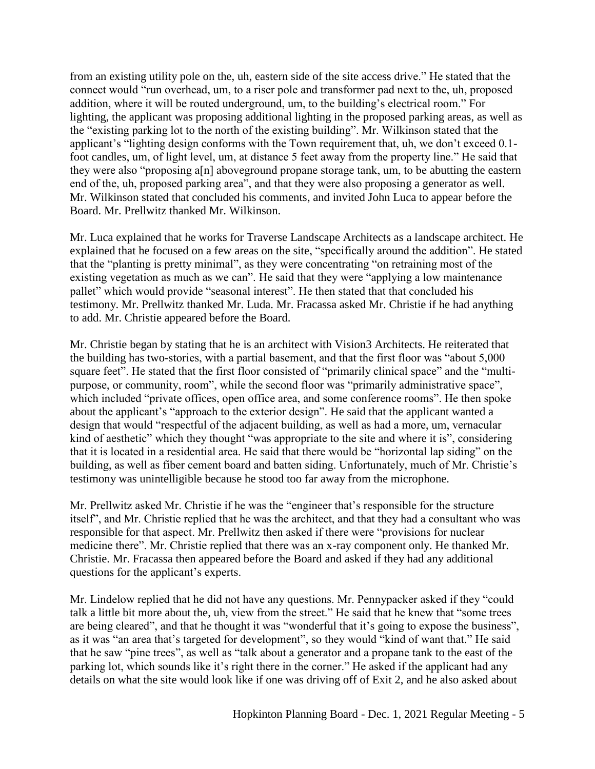from an existing utility pole on the, uh, eastern side of the site access drive." He stated that the connect would "run overhead, um, to a riser pole and transformer pad next to the, uh, proposed addition, where it will be routed underground, um, to the building's electrical room." For lighting, the applicant was proposing additional lighting in the proposed parking areas, as well as the "existing parking lot to the north of the existing building". Mr. Wilkinson stated that the applicant's "lighting design conforms with the Town requirement that, uh, we don't exceed 0.1 foot candles, um, of light level, um, at distance 5 feet away from the property line." He said that they were also "proposing a[n] aboveground propane storage tank, um, to be abutting the eastern end of the, uh, proposed parking area", and that they were also proposing a generator as well. Mr. Wilkinson stated that concluded his comments, and invited John Luca to appear before the Board. Mr. Prellwitz thanked Mr. Wilkinson.

Mr. Luca explained that he works for Traverse Landscape Architects as a landscape architect. He explained that he focused on a few areas on the site, "specifically around the addition". He stated that the "planting is pretty minimal", as they were concentrating "on retraining most of the existing vegetation as much as we can". He said that they were "applying a low maintenance pallet" which would provide "seasonal interest". He then stated that that concluded his testimony. Mr. Prellwitz thanked Mr. Luda. Mr. Fracassa asked Mr. Christie if he had anything to add. Mr. Christie appeared before the Board.

Mr. Christie began by stating that he is an architect with Vision3 Architects. He reiterated that the building has two-stories, with a partial basement, and that the first floor was "about 5,000 square feet". He stated that the first floor consisted of "primarily clinical space" and the "multipurpose, or community, room", while the second floor was "primarily administrative space", which included "private offices, open office area, and some conference rooms". He then spoke about the applicant's "approach to the exterior design". He said that the applicant wanted a design that would "respectful of the adjacent building, as well as had a more, um, vernacular kind of aesthetic" which they thought "was appropriate to the site and where it is", considering that it is located in a residential area. He said that there would be "horizontal lap siding" on the building, as well as fiber cement board and batten siding. Unfortunately, much of Mr. Christie's testimony was unintelligible because he stood too far away from the microphone.

Mr. Prellwitz asked Mr. Christie if he was the "engineer that's responsible for the structure itself", and Mr. Christie replied that he was the architect, and that they had a consultant who was responsible for that aspect. Mr. Prellwitz then asked if there were "provisions for nuclear medicine there". Mr. Christie replied that there was an x-ray component only. He thanked Mr. Christie. Mr. Fracassa then appeared before the Board and asked if they had any additional questions for the applicant's experts.

Mr. Lindelow replied that he did not have any questions. Mr. Pennypacker asked if they "could talk a little bit more about the, uh, view from the street." He said that he knew that "some trees are being cleared", and that he thought it was "wonderful that it's going to expose the business", as it was "an area that's targeted for development", so they would "kind of want that." He said that he saw "pine trees", as well as "talk about a generator and a propane tank to the east of the parking lot, which sounds like it's right there in the corner." He asked if the applicant had any details on what the site would look like if one was driving off of Exit 2, and he also asked about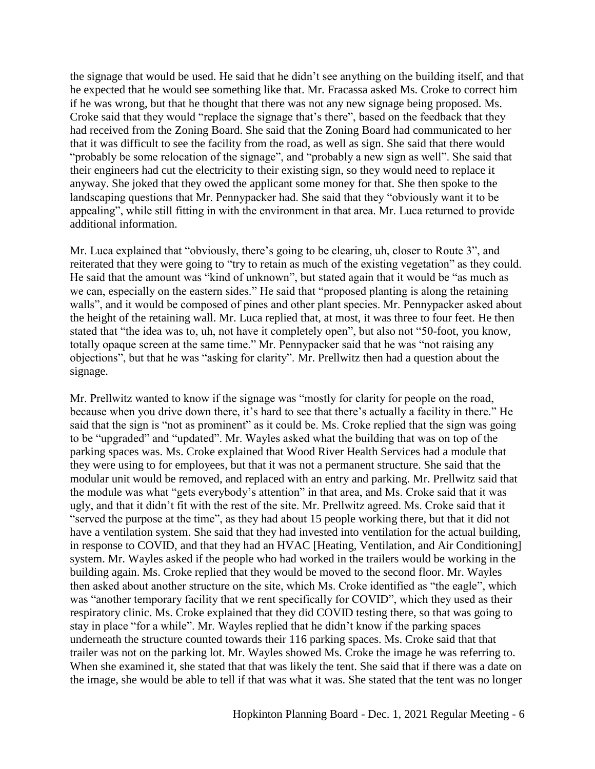the signage that would be used. He said that he didn't see anything on the building itself, and that he expected that he would see something like that. Mr. Fracassa asked Ms. Croke to correct him if he was wrong, but that he thought that there was not any new signage being proposed. Ms. Croke said that they would "replace the signage that's there", based on the feedback that they had received from the Zoning Board. She said that the Zoning Board had communicated to her that it was difficult to see the facility from the road, as well as sign. She said that there would "probably be some relocation of the signage", and "probably a new sign as well". She said that their engineers had cut the electricity to their existing sign, so they would need to replace it anyway. She joked that they owed the applicant some money for that. She then spoke to the landscaping questions that Mr. Pennypacker had. She said that they "obviously want it to be appealing", while still fitting in with the environment in that area. Mr. Luca returned to provide additional information.

Mr. Luca explained that "obviously, there's going to be clearing, uh, closer to Route 3", and reiterated that they were going to "try to retain as much of the existing vegetation" as they could. He said that the amount was "kind of unknown", but stated again that it would be "as much as we can, especially on the eastern sides." He said that "proposed planting is along the retaining walls", and it would be composed of pines and other plant species. Mr. Pennypacker asked about the height of the retaining wall. Mr. Luca replied that, at most, it was three to four feet. He then stated that "the idea was to, uh, not have it completely open", but also not "50-foot, you know, totally opaque screen at the same time." Mr. Pennypacker said that he was "not raising any objections", but that he was "asking for clarity". Mr. Prellwitz then had a question about the signage.

Mr. Prellwitz wanted to know if the signage was "mostly for clarity for people on the road, because when you drive down there, it's hard to see that there's actually a facility in there." He said that the sign is "not as prominent" as it could be. Ms. Croke replied that the sign was going to be "upgraded" and "updated". Mr. Wayles asked what the building that was on top of the parking spaces was. Ms. Croke explained that Wood River Health Services had a module that they were using to for employees, but that it was not a permanent structure. She said that the modular unit would be removed, and replaced with an entry and parking. Mr. Prellwitz said that the module was what "gets everybody's attention" in that area, and Ms. Croke said that it was ugly, and that it didn't fit with the rest of the site. Mr. Prellwitz agreed. Ms. Croke said that it "served the purpose at the time", as they had about 15 people working there, but that it did not have a ventilation system. She said that they had invested into ventilation for the actual building, in response to COVID, and that they had an HVAC [Heating, Ventilation, and Air Conditioning] system. Mr. Wayles asked if the people who had worked in the trailers would be working in the building again. Ms. Croke replied that they would be moved to the second floor. Mr. Wayles then asked about another structure on the site, which Ms. Croke identified as "the eagle", which was "another temporary facility that we rent specifically for COVID", which they used as their respiratory clinic. Ms. Croke explained that they did COVID testing there, so that was going to stay in place "for a while". Mr. Wayles replied that he didn't know if the parking spaces underneath the structure counted towards their 116 parking spaces. Ms. Croke said that that trailer was not on the parking lot. Mr. Wayles showed Ms. Croke the image he was referring to. When she examined it, she stated that that was likely the tent. She said that if there was a date on the image, she would be able to tell if that was what it was. She stated that the tent was no longer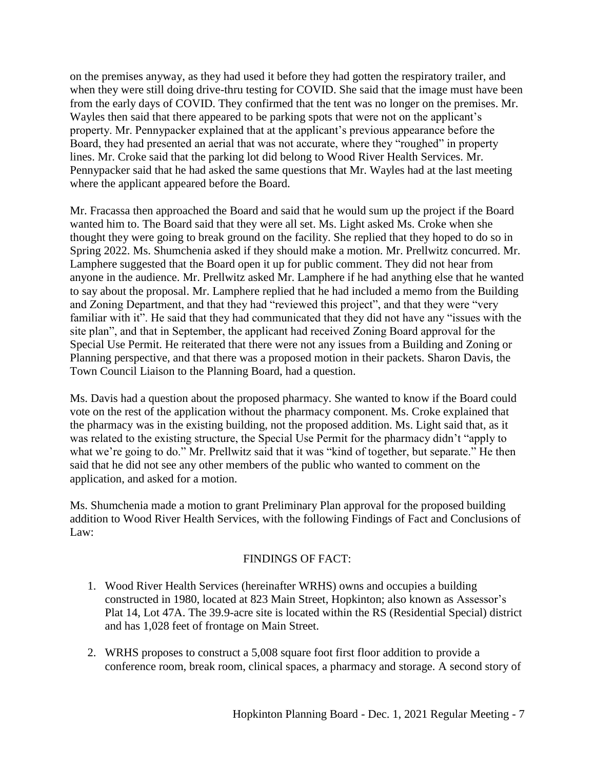on the premises anyway, as they had used it before they had gotten the respiratory trailer, and when they were still doing drive-thru testing for COVID. She said that the image must have been from the early days of COVID. They confirmed that the tent was no longer on the premises. Mr. Wayles then said that there appeared to be parking spots that were not on the applicant's property. Mr. Pennypacker explained that at the applicant's previous appearance before the Board, they had presented an aerial that was not accurate, where they "roughed" in property lines. Mr. Croke said that the parking lot did belong to Wood River Health Services. Mr. Pennypacker said that he had asked the same questions that Mr. Wayles had at the last meeting where the applicant appeared before the Board.

Mr. Fracassa then approached the Board and said that he would sum up the project if the Board wanted him to. The Board said that they were all set. Ms. Light asked Ms. Croke when she thought they were going to break ground on the facility. She replied that they hoped to do so in Spring 2022. Ms. Shumchenia asked if they should make a motion. Mr. Prellwitz concurred. Mr. Lamphere suggested that the Board open it up for public comment. They did not hear from anyone in the audience. Mr. Prellwitz asked Mr. Lamphere if he had anything else that he wanted to say about the proposal. Mr. Lamphere replied that he had included a memo from the Building and Zoning Department, and that they had "reviewed this project", and that they were "very familiar with it". He said that they had communicated that they did not have any "issues with the site plan", and that in September, the applicant had received Zoning Board approval for the Special Use Permit. He reiterated that there were not any issues from a Building and Zoning or Planning perspective, and that there was a proposed motion in their packets. Sharon Davis, the Town Council Liaison to the Planning Board, had a question.

Ms. Davis had a question about the proposed pharmacy. She wanted to know if the Board could vote on the rest of the application without the pharmacy component. Ms. Croke explained that the pharmacy was in the existing building, not the proposed addition. Ms. Light said that, as it was related to the existing structure, the Special Use Permit for the pharmacy didn't "apply to what we're going to do." Mr. Prellwitz said that it was "kind of together, but separate." He then said that he did not see any other members of the public who wanted to comment on the application, and asked for a motion.

Ms. Shumchenia made a motion to grant Preliminary Plan approval for the proposed building addition to Wood River Health Services, with the following Findings of Fact and Conclusions of Law:

# FINDINGS OF FACT:

- 1. Wood River Health Services (hereinafter WRHS) owns and occupies a building constructed in 1980, located at 823 Main Street, Hopkinton; also known as Assessor's Plat 14, Lot 47A. The 39.9-acre site is located within the RS (Residential Special) district and has 1,028 feet of frontage on Main Street.
- 2. WRHS proposes to construct a 5,008 square foot first floor addition to provide a conference room, break room, clinical spaces, a pharmacy and storage. A second story of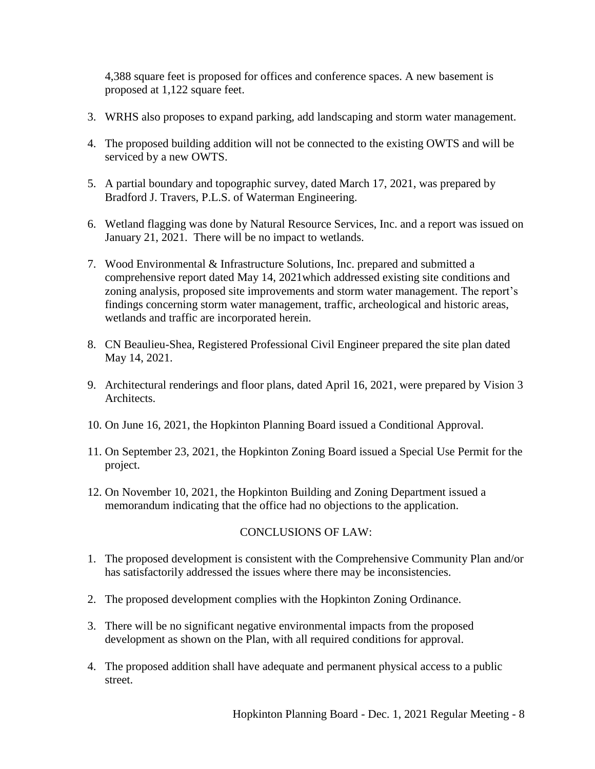4,388 square feet is proposed for offices and conference spaces. A new basement is proposed at 1,122 square feet.

- 3. WRHS also proposes to expand parking, add landscaping and storm water management.
- 4. The proposed building addition will not be connected to the existing OWTS and will be serviced by a new OWTS.
- 5. A partial boundary and topographic survey, dated March 17, 2021, was prepared by Bradford J. Travers, P.L.S. of Waterman Engineering.
- 6. Wetland flagging was done by Natural Resource Services, Inc. and a report was issued on January 21, 2021. There will be no impact to wetlands.
- 7. Wood Environmental & Infrastructure Solutions, Inc. prepared and submitted a comprehensive report dated May 14, 2021which addressed existing site conditions and zoning analysis, proposed site improvements and storm water management. The report's findings concerning storm water management, traffic, archeological and historic areas, wetlands and traffic are incorporated herein.
- 8. CN Beaulieu-Shea, Registered Professional Civil Engineer prepared the site plan dated May 14, 2021.
- 9. Architectural renderings and floor plans, dated April 16, 2021, were prepared by Vision 3 Architects.
- 10. On June 16, 2021, the Hopkinton Planning Board issued a Conditional Approval.
- 11. On September 23, 2021, the Hopkinton Zoning Board issued a Special Use Permit for the project.
- 12. On November 10, 2021, the Hopkinton Building and Zoning Department issued a memorandum indicating that the office had no objections to the application.

### CONCLUSIONS OF LAW:

- 1. The proposed development is consistent with the Comprehensive Community Plan and/or has satisfactorily addressed the issues where there may be inconsistencies.
- 2. The proposed development complies with the Hopkinton Zoning Ordinance.
- 3. There will be no significant negative environmental impacts from the proposed development as shown on the Plan, with all required conditions for approval.
- 4. The proposed addition shall have adequate and permanent physical access to a public street.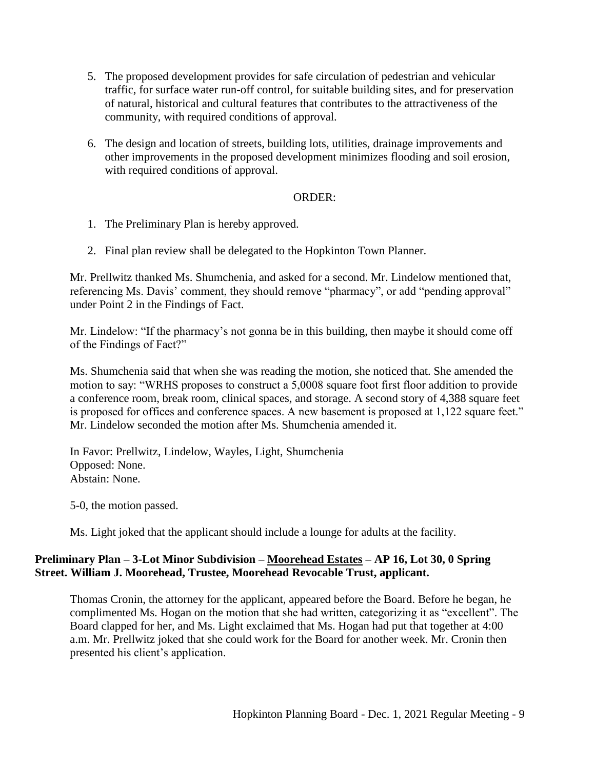- 5. The proposed development provides for safe circulation of pedestrian and vehicular traffic, for surface water run-off control, for suitable building sites, and for preservation of natural, historical and cultural features that contributes to the attractiveness of the community, with required conditions of approval.
- 6. The design and location of streets, building lots, utilities, drainage improvements and other improvements in the proposed development minimizes flooding and soil erosion, with required conditions of approval.

### ORDER:

- 1. The Preliminary Plan is hereby approved.
- 2. Final plan review shall be delegated to the Hopkinton Town Planner.

Mr. Prellwitz thanked Ms. Shumchenia, and asked for a second. Mr. Lindelow mentioned that, referencing Ms. Davis' comment, they should remove "pharmacy", or add "pending approval" under Point 2 in the Findings of Fact.

Mr. Lindelow: "If the pharmacy's not gonna be in this building, then maybe it should come off of the Findings of Fact?"

Ms. Shumchenia said that when she was reading the motion, she noticed that. She amended the motion to say: "WRHS proposes to construct a 5,0008 square foot first floor addition to provide a conference room, break room, clinical spaces, and storage. A second story of 4,388 square feet is proposed for offices and conference spaces. A new basement is proposed at 1,122 square feet." Mr. Lindelow seconded the motion after Ms. Shumchenia amended it.

In Favor: Prellwitz, Lindelow, Wayles, Light, Shumchenia Opposed: None. Abstain: None.

5-0, the motion passed.

Ms. Light joked that the applicant should include a lounge for adults at the facility.

### **Preliminary Plan – 3-Lot Minor Subdivision – Moorehead Estates – AP 16, Lot 30, 0 Spring Street. William J. Moorehead, Trustee, Moorehead Revocable Trust, applicant.**

Thomas Cronin, the attorney for the applicant, appeared before the Board. Before he began, he complimented Ms. Hogan on the motion that she had written, categorizing it as "excellent". The Board clapped for her, and Ms. Light exclaimed that Ms. Hogan had put that together at 4:00 a.m. Mr. Prellwitz joked that she could work for the Board for another week. Mr. Cronin then presented his client's application.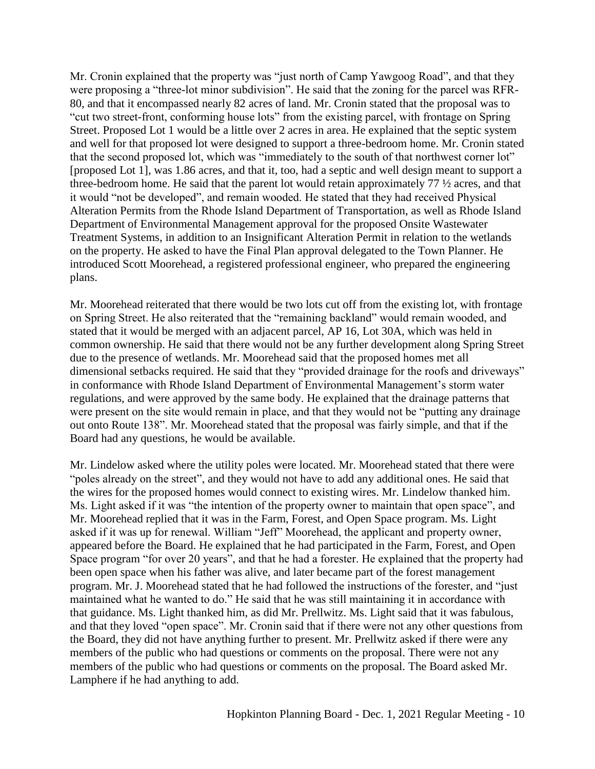Mr. Cronin explained that the property was "just north of Camp Yawgoog Road", and that they were proposing a "three-lot minor subdivision". He said that the zoning for the parcel was RFR-80, and that it encompassed nearly 82 acres of land. Mr. Cronin stated that the proposal was to "cut two street-front, conforming house lots" from the existing parcel, with frontage on Spring Street. Proposed Lot 1 would be a little over 2 acres in area. He explained that the septic system and well for that proposed lot were designed to support a three-bedroom home. Mr. Cronin stated that the second proposed lot, which was "immediately to the south of that northwest corner lot" [proposed Lot 1], was 1.86 acres, and that it, too, had a septic and well design meant to support a three-bedroom home. He said that the parent lot would retain approximately 77 ½ acres, and that it would "not be developed", and remain wooded. He stated that they had received Physical Alteration Permits from the Rhode Island Department of Transportation, as well as Rhode Island Department of Environmental Management approval for the proposed Onsite Wastewater Treatment Systems, in addition to an Insignificant Alteration Permit in relation to the wetlands on the property. He asked to have the Final Plan approval delegated to the Town Planner. He introduced Scott Moorehead, a registered professional engineer, who prepared the engineering plans.

Mr. Moorehead reiterated that there would be two lots cut off from the existing lot, with frontage on Spring Street. He also reiterated that the "remaining backland" would remain wooded, and stated that it would be merged with an adjacent parcel, AP 16, Lot 30A, which was held in common ownership. He said that there would not be any further development along Spring Street due to the presence of wetlands. Mr. Moorehead said that the proposed homes met all dimensional setbacks required. He said that they "provided drainage for the roofs and driveways" in conformance with Rhode Island Department of Environmental Management's storm water regulations, and were approved by the same body. He explained that the drainage patterns that were present on the site would remain in place, and that they would not be "putting any drainage out onto Route 138". Mr. Moorehead stated that the proposal was fairly simple, and that if the Board had any questions, he would be available.

Mr. Lindelow asked where the utility poles were located. Mr. Moorehead stated that there were "poles already on the street", and they would not have to add any additional ones. He said that the wires for the proposed homes would connect to existing wires. Mr. Lindelow thanked him. Ms. Light asked if it was "the intention of the property owner to maintain that open space", and Mr. Moorehead replied that it was in the Farm, Forest, and Open Space program. Ms. Light asked if it was up for renewal. William "Jeff" Moorehead, the applicant and property owner, appeared before the Board. He explained that he had participated in the Farm, Forest, and Open Space program "for over 20 years", and that he had a forester. He explained that the property had been open space when his father was alive, and later became part of the forest management program. Mr. J. Moorehead stated that he had followed the instructions of the forester, and "just maintained what he wanted to do." He said that he was still maintaining it in accordance with that guidance. Ms. Light thanked him, as did Mr. Prellwitz. Ms. Light said that it was fabulous, and that they loved "open space". Mr. Cronin said that if there were not any other questions from the Board, they did not have anything further to present. Mr. Prellwitz asked if there were any members of the public who had questions or comments on the proposal. There were not any members of the public who had questions or comments on the proposal. The Board asked Mr. Lamphere if he had anything to add.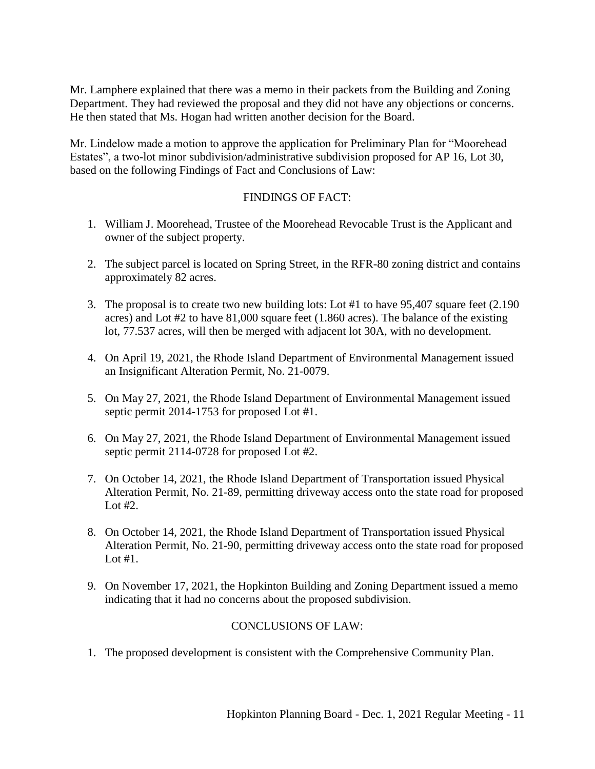Mr. Lamphere explained that there was a memo in their packets from the Building and Zoning Department. They had reviewed the proposal and they did not have any objections or concerns. He then stated that Ms. Hogan had written another decision for the Board.

Mr. Lindelow made a motion to approve the application for Preliminary Plan for "Moorehead Estates", a two-lot minor subdivision/administrative subdivision proposed for AP 16, Lot 30, based on the following Findings of Fact and Conclusions of Law:

# FINDINGS OF FACT:

- 1. William J. Moorehead, Trustee of the Moorehead Revocable Trust is the Applicant and owner of the subject property.
- 2. The subject parcel is located on Spring Street, in the RFR-80 zoning district and contains approximately 82 acres.
- 3. The proposal is to create two new building lots: Lot #1 to have 95,407 square feet (2.190 acres) and Lot #2 to have 81,000 square feet (1.860 acres). The balance of the existing lot, 77.537 acres, will then be merged with adjacent lot 30A, with no development.
- 4. On April 19, 2021, the Rhode Island Department of Environmental Management issued an Insignificant Alteration Permit, No. 21-0079.
- 5. On May 27, 2021, the Rhode Island Department of Environmental Management issued septic permit 2014-1753 for proposed Lot #1.
- 6. On May 27, 2021, the Rhode Island Department of Environmental Management issued septic permit 2114-0728 for proposed Lot #2.
- 7. On October 14, 2021, the Rhode Island Department of Transportation issued Physical Alteration Permit, No. 21-89, permitting driveway access onto the state road for proposed Lot  $#2$ .
- 8. On October 14, 2021, the Rhode Island Department of Transportation issued Physical Alteration Permit, No. 21-90, permitting driveway access onto the state road for proposed Lot #1.
- 9. On November 17, 2021, the Hopkinton Building and Zoning Department issued a memo indicating that it had no concerns about the proposed subdivision.

# CONCLUSIONS OF LAW:

1. The proposed development is consistent with the Comprehensive Community Plan.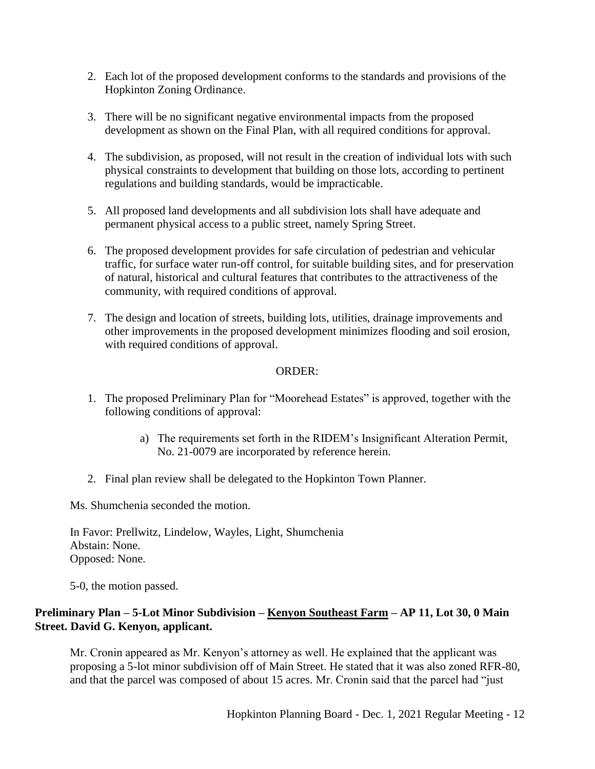- 2. Each lot of the proposed development conforms to the standards and provisions of the Hopkinton Zoning Ordinance.
- 3. There will be no significant negative environmental impacts from the proposed development as shown on the Final Plan, with all required conditions for approval.
- 4. The subdivision, as proposed, will not result in the creation of individual lots with such physical constraints to development that building on those lots, according to pertinent regulations and building standards, would be impracticable.
- 5. All proposed land developments and all subdivision lots shall have adequate and permanent physical access to a public street, namely Spring Street.
- 6. The proposed development provides for safe circulation of pedestrian and vehicular traffic, for surface water run-off control, for suitable building sites, and for preservation of natural, historical and cultural features that contributes to the attractiveness of the community, with required conditions of approval.
- 7. The design and location of streets, building lots, utilities, drainage improvements and other improvements in the proposed development minimizes flooding and soil erosion, with required conditions of approval.

# ORDER:

- 1. The proposed Preliminary Plan for "Moorehead Estates" is approved, together with the following conditions of approval:
	- a) The requirements set forth in the RIDEM's Insignificant Alteration Permit, No. 21-0079 are incorporated by reference herein.
- 2. Final plan review shall be delegated to the Hopkinton Town Planner.

Ms. Shumchenia seconded the motion.

In Favor: Prellwitz, Lindelow, Wayles, Light, Shumchenia Abstain: None. Opposed: None.

5-0, the motion passed.

# **Preliminary Plan – 5-Lot Minor Subdivision – Kenyon Southeast Farm – AP 11, Lot 30, 0 Main Street. David G. Kenyon, applicant.**

Mr. Cronin appeared as Mr. Kenyon's attorney as well. He explained that the applicant was proposing a 5-lot minor subdivision off of Main Street. He stated that it was also zoned RFR-80, and that the parcel was composed of about 15 acres. Mr. Cronin said that the parcel had "just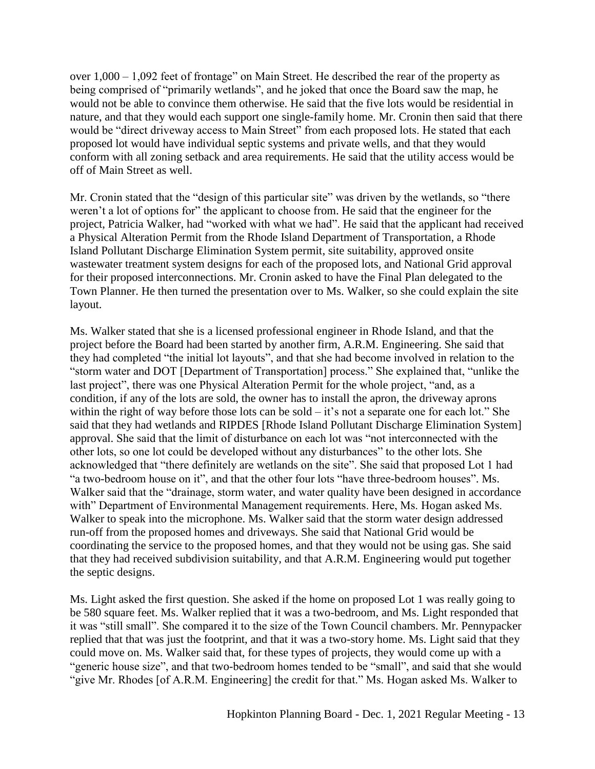over 1,000 – 1,092 feet of frontage" on Main Street. He described the rear of the property as being comprised of "primarily wetlands", and he joked that once the Board saw the map, he would not be able to convince them otherwise. He said that the five lots would be residential in nature, and that they would each support one single-family home. Mr. Cronin then said that there would be "direct driveway access to Main Street" from each proposed lots. He stated that each proposed lot would have individual septic systems and private wells, and that they would conform with all zoning setback and area requirements. He said that the utility access would be off of Main Street as well.

Mr. Cronin stated that the "design of this particular site" was driven by the wetlands, so "there weren't a lot of options for" the applicant to choose from. He said that the engineer for the project, Patricia Walker, had "worked with what we had". He said that the applicant had received a Physical Alteration Permit from the Rhode Island Department of Transportation, a Rhode Island Pollutant Discharge Elimination System permit, site suitability, approved onsite wastewater treatment system designs for each of the proposed lots, and National Grid approval for their proposed interconnections. Mr. Cronin asked to have the Final Plan delegated to the Town Planner. He then turned the presentation over to Ms. Walker, so she could explain the site layout.

Ms. Walker stated that she is a licensed professional engineer in Rhode Island, and that the project before the Board had been started by another firm, A.R.M. Engineering. She said that they had completed "the initial lot layouts", and that she had become involved in relation to the "storm water and DOT [Department of Transportation] process." She explained that, "unlike the last project", there was one Physical Alteration Permit for the whole project, "and, as a condition, if any of the lots are sold, the owner has to install the apron, the driveway aprons within the right of way before those lots can be sold – it's not a separate one for each lot." She said that they had wetlands and RIPDES [Rhode Island Pollutant Discharge Elimination System] approval. She said that the limit of disturbance on each lot was "not interconnected with the other lots, so one lot could be developed without any disturbances" to the other lots. She acknowledged that "there definitely are wetlands on the site". She said that proposed Lot 1 had "a two-bedroom house on it", and that the other four lots "have three-bedroom houses". Ms. Walker said that the "drainage, storm water, and water quality have been designed in accordance with" Department of Environmental Management requirements. Here, Ms. Hogan asked Ms. Walker to speak into the microphone. Ms. Walker said that the storm water design addressed run-off from the proposed homes and driveways. She said that National Grid would be coordinating the service to the proposed homes, and that they would not be using gas. She said that they had received subdivision suitability, and that A.R.M. Engineering would put together the septic designs.

Ms. Light asked the first question. She asked if the home on proposed Lot 1 was really going to be 580 square feet. Ms. Walker replied that it was a two-bedroom, and Ms. Light responded that it was "still small". She compared it to the size of the Town Council chambers. Mr. Pennypacker replied that that was just the footprint, and that it was a two-story home. Ms. Light said that they could move on. Ms. Walker said that, for these types of projects, they would come up with a "generic house size", and that two-bedroom homes tended to be "small", and said that she would "give Mr. Rhodes [of A.R.M. Engineering] the credit for that." Ms. Hogan asked Ms. Walker to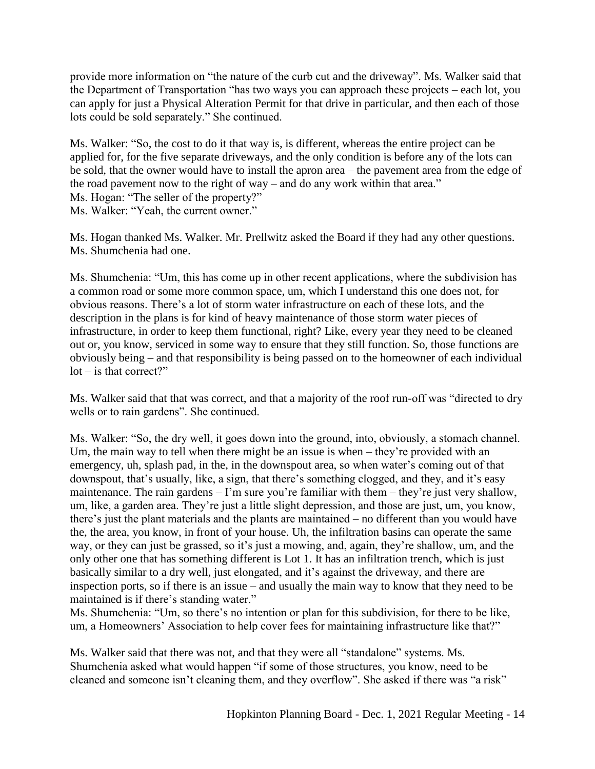provide more information on "the nature of the curb cut and the driveway". Ms. Walker said that the Department of Transportation "has two ways you can approach these projects – each lot, you can apply for just a Physical Alteration Permit for that drive in particular, and then each of those lots could be sold separately." She continued.

Ms. Walker: "So, the cost to do it that way is, is different, whereas the entire project can be applied for, for the five separate driveways, and the only condition is before any of the lots can be sold, that the owner would have to install the apron area – the pavement area from the edge of the road pavement now to the right of way – and do any work within that area." Ms. Hogan: "The seller of the property?" Ms. Walker: "Yeah, the current owner."

Ms. Hogan thanked Ms. Walker. Mr. Prellwitz asked the Board if they had any other questions. Ms. Shumchenia had one.

Ms. Shumchenia: "Um, this has come up in other recent applications, where the subdivision has a common road or some more common space, um, which I understand this one does not, for obvious reasons. There's a lot of storm water infrastructure on each of these lots, and the description in the plans is for kind of heavy maintenance of those storm water pieces of infrastructure, in order to keep them functional, right? Like, every year they need to be cleaned out or, you know, serviced in some way to ensure that they still function. So, those functions are obviously being – and that responsibility is being passed on to the homeowner of each individual  $\text{lot} - \text{is that correct?}$ "

Ms. Walker said that that was correct, and that a majority of the roof run-off was "directed to dry wells or to rain gardens". She continued.

Ms. Walker: "So, the dry well, it goes down into the ground, into, obviously, a stomach channel. Um, the main way to tell when there might be an issue is when – they're provided with an emergency, uh, splash pad, in the, in the downspout area, so when water's coming out of that downspout, that's usually, like, a sign, that there's something clogged, and they, and it's easy maintenance. The rain gardens – I'm sure you're familiar with them – they're just very shallow, um, like, a garden area. They're just a little slight depression, and those are just, um, you know, there's just the plant materials and the plants are maintained – no different than you would have the, the area, you know, in front of your house. Uh, the infiltration basins can operate the same way, or they can just be grassed, so it's just a mowing, and, again, they're shallow, um, and the only other one that has something different is Lot 1. It has an infiltration trench, which is just basically similar to a dry well, just elongated, and it's against the driveway, and there are inspection ports, so if there is an issue – and usually the main way to know that they need to be maintained is if there's standing water."

Ms. Shumchenia: "Um, so there's no intention or plan for this subdivision, for there to be like, um, a Homeowners' Association to help cover fees for maintaining infrastructure like that?"

Ms. Walker said that there was not, and that they were all "standalone" systems. Ms. Shumchenia asked what would happen "if some of those structures, you know, need to be cleaned and someone isn't cleaning them, and they overflow". She asked if there was "a risk"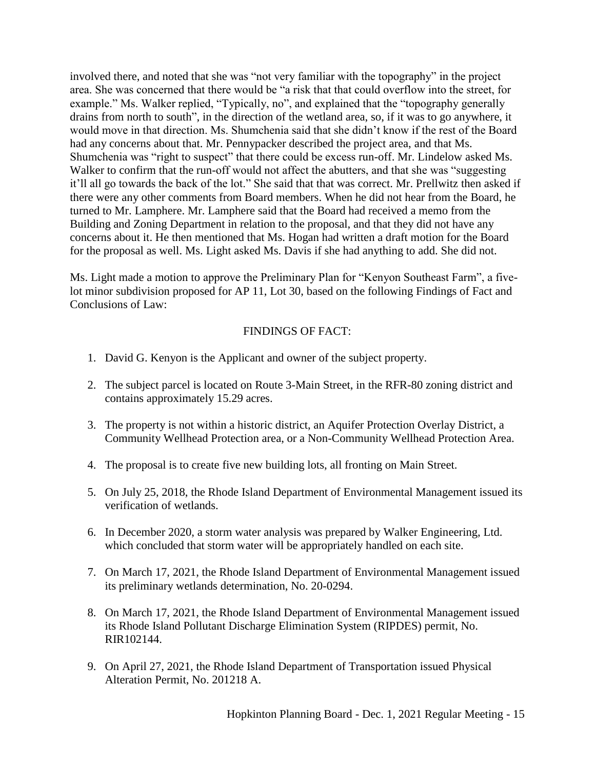involved there, and noted that she was "not very familiar with the topography" in the project area. She was concerned that there would be "a risk that that could overflow into the street, for example." Ms. Walker replied, "Typically, no", and explained that the "topography generally drains from north to south", in the direction of the wetland area, so, if it was to go anywhere, it would move in that direction. Ms. Shumchenia said that she didn't know if the rest of the Board had any concerns about that. Mr. Pennypacker described the project area, and that Ms. Shumchenia was "right to suspect" that there could be excess run-off. Mr. Lindelow asked Ms. Walker to confirm that the run-off would not affect the abutters, and that she was "suggesting it'll all go towards the back of the lot." She said that that was correct. Mr. Prellwitz then asked if there were any other comments from Board members. When he did not hear from the Board, he turned to Mr. Lamphere. Mr. Lamphere said that the Board had received a memo from the Building and Zoning Department in relation to the proposal, and that they did not have any concerns about it. He then mentioned that Ms. Hogan had written a draft motion for the Board for the proposal as well. Ms. Light asked Ms. Davis if she had anything to add. She did not.

Ms. Light made a motion to approve the Preliminary Plan for "Kenyon Southeast Farm", a fivelot minor subdivision proposed for AP 11, Lot 30, based on the following Findings of Fact and Conclusions of Law:

# FINDINGS OF FACT:

- 1. David G. Kenyon is the Applicant and owner of the subject property.
- 2. The subject parcel is located on Route 3-Main Street, in the RFR-80 zoning district and contains approximately 15.29 acres.
- 3. The property is not within a historic district, an Aquifer Protection Overlay District, a Community Wellhead Protection area, or a Non-Community Wellhead Protection Area.
- 4. The proposal is to create five new building lots, all fronting on Main Street.
- 5. On July 25, 2018, the Rhode Island Department of Environmental Management issued its verification of wetlands.
- 6. In December 2020, a storm water analysis was prepared by Walker Engineering, Ltd. which concluded that storm water will be appropriately handled on each site.
- 7. On March 17, 2021, the Rhode Island Department of Environmental Management issued its preliminary wetlands determination, No. 20-0294.
- 8. On March 17, 2021, the Rhode Island Department of Environmental Management issued its Rhode Island Pollutant Discharge Elimination System (RIPDES) permit, No. RIR102144.
- 9. On April 27, 2021, the Rhode Island Department of Transportation issued Physical Alteration Permit, No. 201218 A.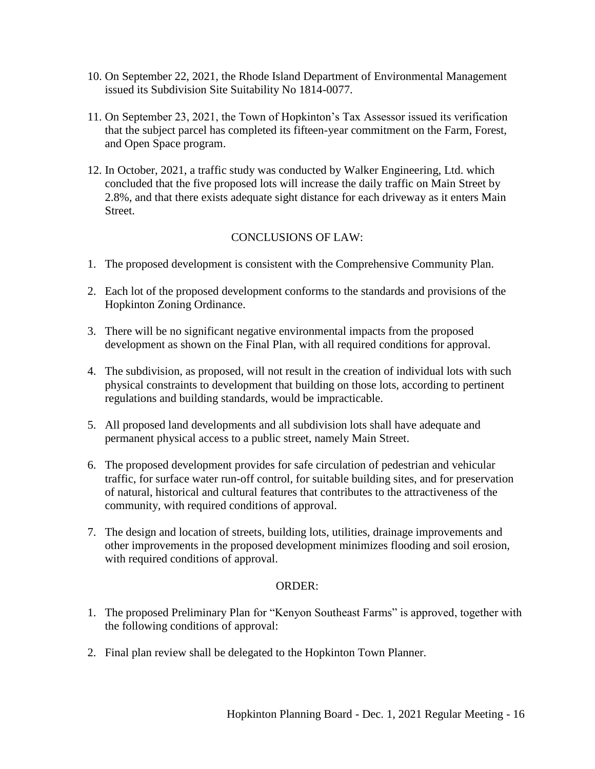- 10. On September 22, 2021, the Rhode Island Department of Environmental Management issued its Subdivision Site Suitability No 1814-0077.
- 11. On September 23, 2021, the Town of Hopkinton's Tax Assessor issued its verification that the subject parcel has completed its fifteen-year commitment on the Farm, Forest, and Open Space program.
- 12. In October, 2021, a traffic study was conducted by Walker Engineering, Ltd. which concluded that the five proposed lots will increase the daily traffic on Main Street by 2.8%, and that there exists adequate sight distance for each driveway as it enters Main Street.

# CONCLUSIONS OF LAW:

- 1. The proposed development is consistent with the Comprehensive Community Plan.
- 2. Each lot of the proposed development conforms to the standards and provisions of the Hopkinton Zoning Ordinance.
- 3. There will be no significant negative environmental impacts from the proposed development as shown on the Final Plan, with all required conditions for approval.
- 4. The subdivision, as proposed, will not result in the creation of individual lots with such physical constraints to development that building on those lots, according to pertinent regulations and building standards, would be impracticable.
- 5. All proposed land developments and all subdivision lots shall have adequate and permanent physical access to a public street, namely Main Street.
- 6. The proposed development provides for safe circulation of pedestrian and vehicular traffic, for surface water run-off control, for suitable building sites, and for preservation of natural, historical and cultural features that contributes to the attractiveness of the community, with required conditions of approval.
- 7. The design and location of streets, building lots, utilities, drainage improvements and other improvements in the proposed development minimizes flooding and soil erosion, with required conditions of approval.

# ORDER:

- 1. The proposed Preliminary Plan for "Kenyon Southeast Farms" is approved, together with the following conditions of approval:
- 2. Final plan review shall be delegated to the Hopkinton Town Planner.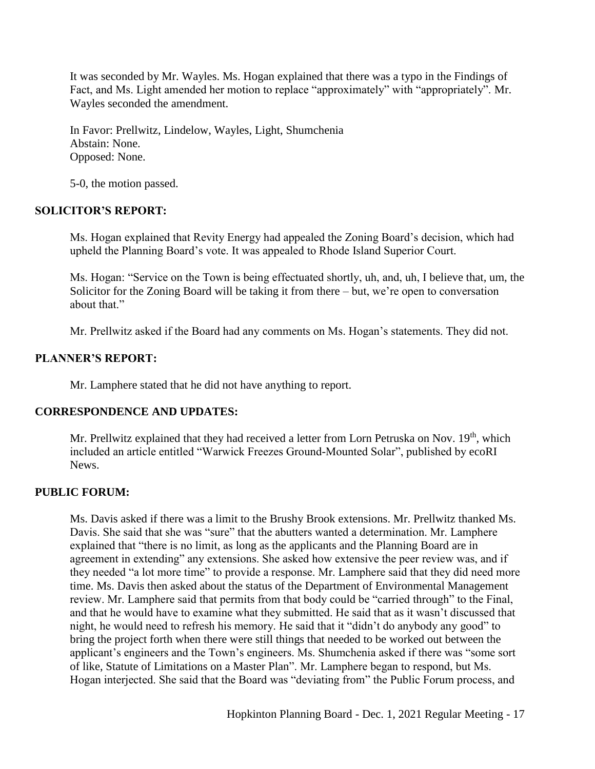It was seconded by Mr. Wayles. Ms. Hogan explained that there was a typo in the Findings of Fact, and Ms. Light amended her motion to replace "approximately" with "appropriately". Mr. Wayles seconded the amendment.

In Favor: Prellwitz, Lindelow, Wayles, Light, Shumchenia Abstain: None. Opposed: None.

5-0, the motion passed.

### **SOLICITOR'S REPORT:**

Ms. Hogan explained that Revity Energy had appealed the Zoning Board's decision, which had upheld the Planning Board's vote. It was appealed to Rhode Island Superior Court.

Ms. Hogan: "Service on the Town is being effectuated shortly, uh, and, uh, I believe that, um, the Solicitor for the Zoning Board will be taking it from there – but, we're open to conversation about that."

Mr. Prellwitz asked if the Board had any comments on Ms. Hogan's statements. They did not.

### **PLANNER'S REPORT:**

Mr. Lamphere stated that he did not have anything to report.

### **CORRESPONDENCE AND UPDATES:**

Mr. Prellwitz explained that they had received a letter from Lorn Petruska on Nov. 19<sup>th</sup>, which included an article entitled "Warwick Freezes Ground-Mounted Solar", published by ecoRI News.

### **PUBLIC FORUM:**

Ms. Davis asked if there was a limit to the Brushy Brook extensions. Mr. Prellwitz thanked Ms. Davis. She said that she was "sure" that the abutters wanted a determination. Mr. Lamphere explained that "there is no limit, as long as the applicants and the Planning Board are in agreement in extending" any extensions. She asked how extensive the peer review was, and if they needed "a lot more time" to provide a response. Mr. Lamphere said that they did need more time. Ms. Davis then asked about the status of the Department of Environmental Management review. Mr. Lamphere said that permits from that body could be "carried through" to the Final, and that he would have to examine what they submitted. He said that as it wasn't discussed that night, he would need to refresh his memory. He said that it "didn't do anybody any good" to bring the project forth when there were still things that needed to be worked out between the applicant's engineers and the Town's engineers. Ms. Shumchenia asked if there was "some sort of like, Statute of Limitations on a Master Plan". Mr. Lamphere began to respond, but Ms. Hogan interjected. She said that the Board was "deviating from" the Public Forum process, and